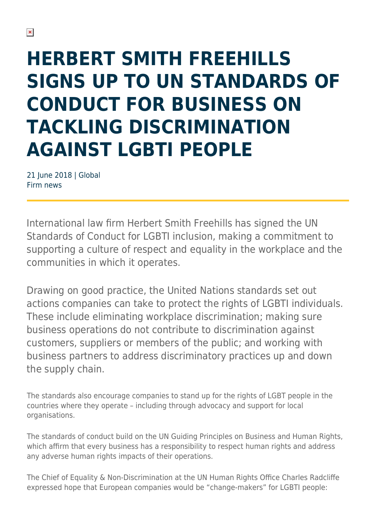# **HERBERT SMITH FREEHILLS SIGNS UP TO UN STANDARDS OF CONDUCT FOR BUSINESS ON TACKLING DISCRIMINATION AGAINST LGBTI PEOPLE**

21 June 2018 | Global Firm news

International law firm Herbert Smith Freehills has signed the UN Standards of Conduct for LGBTI inclusion, making a commitment to supporting a culture of respect and equality in the workplace and the communities in which it operates.

Drawing on good practice, the United Nations standards set out actions companies can take to protect the rights of LGBTI individuals. These include eliminating workplace discrimination; making sure business operations do not contribute to discrimination against customers, suppliers or members of the public; and working with business partners to address discriminatory practices up and down the supply chain.

The standards also encourage companies to stand up for the rights of LGBT people in the countries where they operate – including through advocacy and support for local organisations.

The standards of conduct build on the UN Guiding Principles on Business and Human Rights, which affirm that every business has a responsibility to respect human rights and address any adverse human rights impacts of their operations.

The Chief of Equality & Non-Discrimination at the UN Human Rights Office Charles Radcliffe expressed hope that European companies would be "change-makers" for LGBTI people: